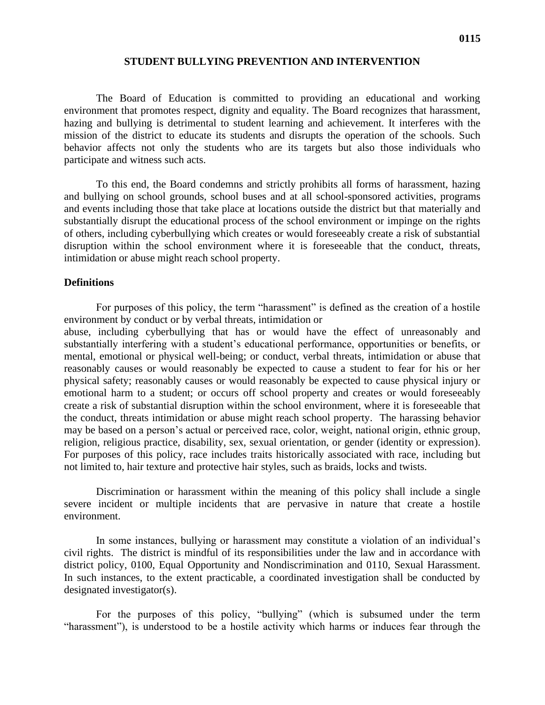### **STUDENT BULLYING PREVENTION AND INTERVENTION**

The Board of Education is committed to providing an educational and working environment that promotes respect, dignity and equality. The Board recognizes that harassment, hazing and bullying is detrimental to student learning and achievement. It interferes with the mission of the district to educate its students and disrupts the operation of the schools. Such behavior affects not only the students who are its targets but also those individuals who participate and witness such acts.

To this end, the Board condemns and strictly prohibits all forms of harassment, hazing and bullying on school grounds, school buses and at all school-sponsored activities, programs and events including those that take place at locations outside the district but that materially and substantially disrupt the educational process of the school environment or impinge on the rights of others, including cyberbullying which creates or would foreseeably create a risk of substantial disruption within the school environment where it is foreseeable that the conduct, threats, intimidation or abuse might reach school property.

#### **Definitions**

For purposes of this policy, the term "harassment" is defined as the creation of a hostile environment by conduct or by verbal threats, intimidation or

abuse, including cyberbullying that has or would have the effect of unreasonably and substantially interfering with a student's educational performance, opportunities or benefits, or mental, emotional or physical well-being; or conduct, verbal threats, intimidation or abuse that reasonably causes or would reasonably be expected to cause a student to fear for his or her physical safety; reasonably causes or would reasonably be expected to cause physical injury or emotional harm to a student; or occurs off school property and creates or would foreseeably create a risk of substantial disruption within the school environment, where it is foreseeable that the conduct, threats intimidation or abuse might reach school property. The harassing behavior may be based on a person's actual or perceived race, color, weight, national origin, ethnic group, religion, religious practice, disability, sex, sexual orientation, or gender (identity or expression). For purposes of this policy, race includes traits historically associated with race, including but not limited to, hair texture and protective hair styles, such as braids, locks and twists.

Discrimination or harassment within the meaning of this policy shall include a single severe incident or multiple incidents that are pervasive in nature that create a hostile environment.

In some instances, bullying or harassment may constitute a violation of an individual's civil rights. The district is mindful of its responsibilities under the law and in accordance with district policy, 0100, Equal Opportunity and Nondiscrimination and 0110, Sexual Harassment. In such instances, to the extent practicable, a coordinated investigation shall be conducted by designated investigator(s).

For the purposes of this policy, "bullying" (which is subsumed under the term "harassment"), is understood to be a hostile activity which harms or induces fear through the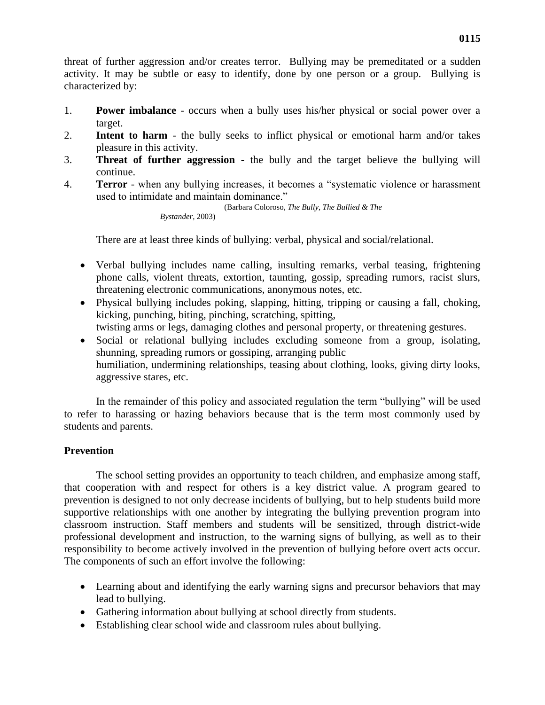threat of further aggression and/or creates terror. Bullying may be premeditated or a sudden activity. It may be subtle or easy to identify, done by one person or a group. Bullying is characterized by:

- 1. **Power imbalance**  occurs when a bully uses his/her physical or social power over a target.
- 2. **Intent to harm**  the bully seeks to inflict physical or emotional harm and/or takes pleasure in this activity.
- 3. **Threat of further aggression**  the bully and the target believe the bullying will continue.
- 4. **Terror**  when any bullying increases, it becomes a "systematic violence or harassment used to intimidate and maintain dominance."

(Barbara Coloroso, *The Bully, The Bullied & The* 

*Bystander*, 2003)

There are at least three kinds of bullying: verbal, physical and social/relational.

- Verbal bullying includes name calling, insulting remarks, verbal teasing, frightening phone calls, violent threats, extortion, taunting, gossip, spreading rumors, racist slurs, threatening electronic communications, anonymous notes, etc.
- Physical bullying includes poking, slapping, hitting, tripping or causing a fall, choking, kicking, punching, biting, pinching, scratching, spitting, twisting arms or legs, damaging clothes and personal property, or threatening gestures.
- Social or relational bullying includes excluding someone from a group, isolating, shunning, spreading rumors or gossiping, arranging public humiliation, undermining relationships, teasing about clothing, looks, giving dirty looks, aggressive stares, etc.

In the remainder of this policy and associated regulation the term "bullying" will be used to refer to harassing or hazing behaviors because that is the term most commonly used by students and parents.

# **Prevention**

The school setting provides an opportunity to teach children, and emphasize among staff, that cooperation with and respect for others is a key district value. A program geared to prevention is designed to not only decrease incidents of bullying, but to help students build more supportive relationships with one another by integrating the bullying prevention program into classroom instruction. Staff members and students will be sensitized, through district-wide professional development and instruction, to the warning signs of bullying, as well as to their responsibility to become actively involved in the prevention of bullying before overt acts occur. The components of such an effort involve the following:

- Learning about and identifying the early warning signs and precursor behaviors that may lead to bullying.
- Gathering information about bullying at school directly from students.
- Establishing clear school wide and classroom rules about bullying.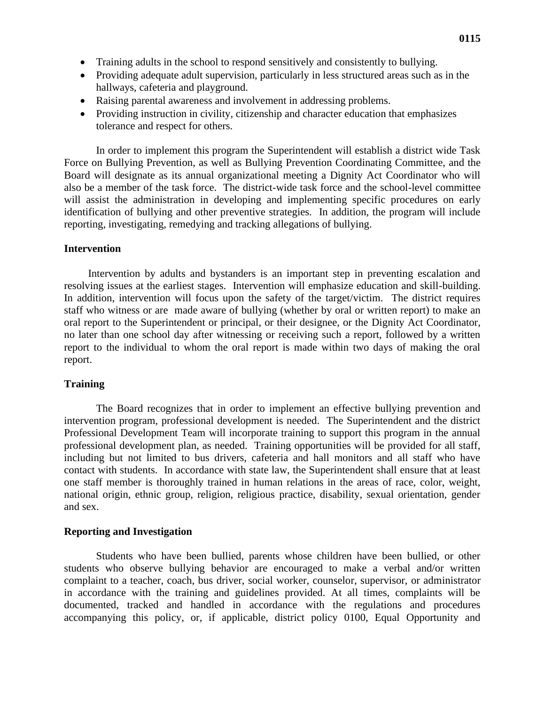- Training adults in the school to respond sensitively and consistently to bullying.
- Providing adequate adult supervision, particularly in less structured areas such as in the hallways, cafeteria and playground.
- Raising parental awareness and involvement in addressing problems.
- Providing instruction in civility, citizenship and character education that emphasizes tolerance and respect for others.

In order to implement this program the Superintendent will establish a district wide Task Force on Bullying Prevention, as well as Bullying Prevention Coordinating Committee, and the Board will designate as its annual organizational meeting a Dignity Act Coordinator who will also be a member of the task force. The district-wide task force and the school-level committee will assist the administration in developing and implementing specific procedures on early identification of bullying and other preventive strategies. In addition, the program will include reporting, investigating, remedying and tracking allegations of bullying.

### **Intervention**

Intervention by adults and bystanders is an important step in preventing escalation and resolving issues at the earliest stages. Intervention will emphasize education and skill-building. In addition, intervention will focus upon the safety of the target/victim. The district requires staff who witness or are made aware of bullying (whether by oral or written report) to make an oral report to the Superintendent or principal, or their designee, or the Dignity Act Coordinator, no later than one school day after witnessing or receiving such a report, followed by a written report to the individual to whom the oral report is made within two days of making the oral report.

## **Training**

The Board recognizes that in order to implement an effective bullying prevention and intervention program, professional development is needed. The Superintendent and the district Professional Development Team will incorporate training to support this program in the annual professional development plan, as needed. Training opportunities will be provided for all staff, including but not limited to bus drivers, cafeteria and hall monitors and all staff who have contact with students. In accordance with state law, the Superintendent shall ensure that at least one staff member is thoroughly trained in human relations in the areas of race, color, weight, national origin, ethnic group, religion, religious practice, disability, sexual orientation, gender and sex.

### **Reporting and Investigation**

Students who have been bullied, parents whose children have been bullied, or other students who observe bullying behavior are encouraged to make a verbal and/or written complaint to a teacher, coach, bus driver, social worker, counselor, supervisor, or administrator in accordance with the training and guidelines provided. At all times, complaints will be documented, tracked and handled in accordance with the regulations and procedures accompanying this policy, or, if applicable, district policy 0100, Equal Opportunity and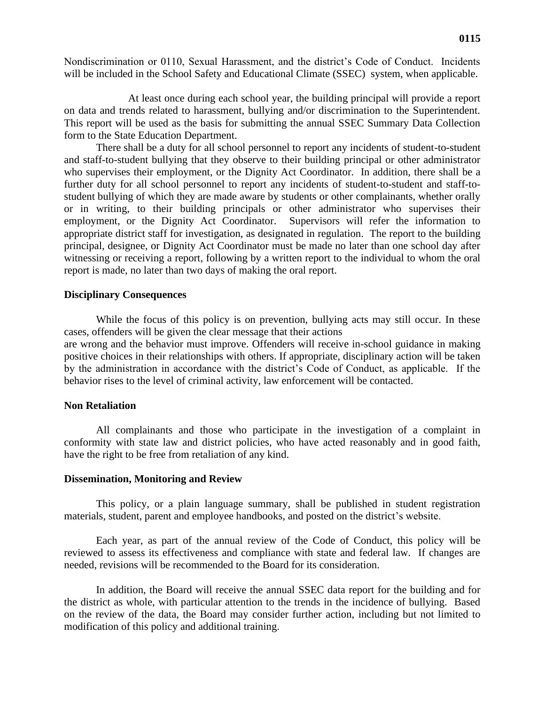Nondiscrimination or 0110, Sexual Harassment, and the district's Code of Conduct. Incidents will be included in the School Safety and Educational Climate (SSEC) system, when applicable.

At least once during each school year, the building principal will provide a report on data and trends related to harassment, bullying and/or discrimination to the Superintendent. This report will be used as the basis for submitting the annual SSEC Summary Data Collection form to the State Education Department.

There shall be a duty for all school personnel to report any incidents of student-to-student and staff-to-student bullying that they observe to their building principal or other administrator who supervises their employment, or the Dignity Act Coordinator. In addition, there shall be a further duty for all school personnel to report any incidents of student-to-student and staff-tostudent bullying of which they are made aware by students or other complainants, whether orally or in writing, to their building principals or other administrator who supervises their employment, or the Dignity Act Coordinator. Supervisors will refer the information to appropriate district staff for investigation, as designated in regulation. The report to the building principal, designee, or Dignity Act Coordinator must be made no later than one school day after witnessing or receiving a report, following by a written report to the individual to whom the oral report is made, no later than two days of making the oral report.

### **Disciplinary Consequences**

While the focus of this policy is on prevention, bullying acts may still occur. In these cases, offenders will be given the clear message that their actions

are wrong and the behavior must improve. Offenders will receive in-school guidance in making positive choices in their relationships with others. If appropriate, disciplinary action will be taken by the administration in accordance with the district's Code of Conduct, as applicable. If the behavior rises to the level of criminal activity, law enforcement will be contacted.

### **Non Retaliation**

All complainants and those who participate in the investigation of a complaint in conformity with state law and district policies, who have acted reasonably and in good faith, have the right to be free from retaliation of any kind.

### **Dissemination, Monitoring and Review**

This policy, or a plain language summary, shall be published in student registration materials, student, parent and employee handbooks, and posted on the district's website.

Each year, as part of the annual review of the Code of Conduct, this policy will be reviewed to assess its effectiveness and compliance with state and federal law. If changes are needed, revisions will be recommended to the Board for its consideration.

In addition, the Board will receive the annual SSEC data report for the building and for the district as whole, with particular attention to the trends in the incidence of bullying. Based on the review of the data, the Board may consider further action, including but not limited to modification of this policy and additional training.